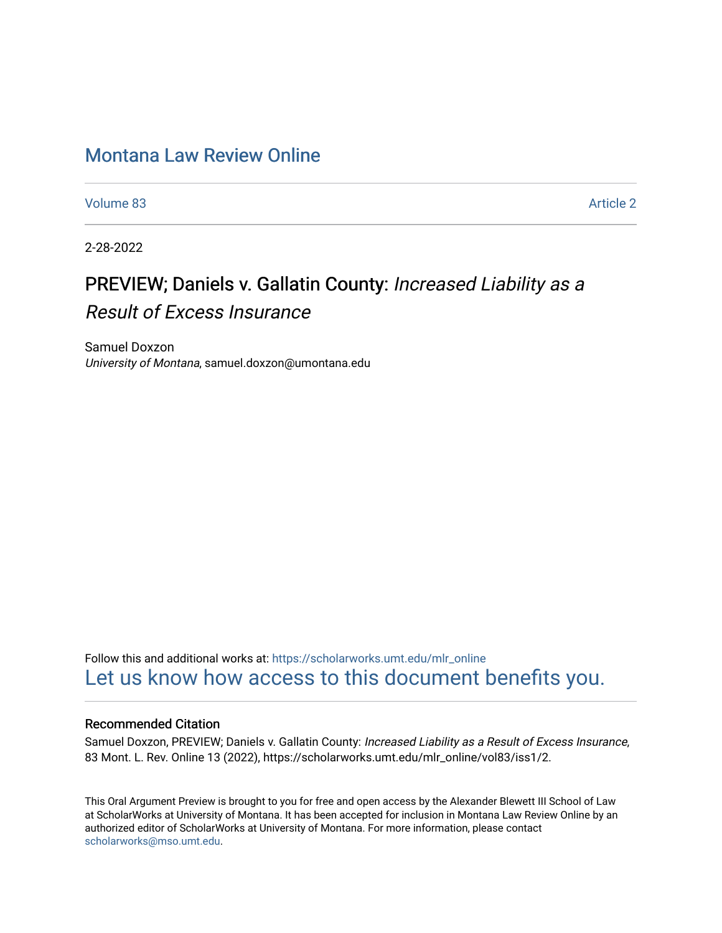# [Montana Law Review Online](https://scholarworks.umt.edu/mlr_online)

[Volume 83](https://scholarworks.umt.edu/mlr_online/vol83) [Article 2](https://scholarworks.umt.edu/mlr_online/vol83/iss1/2) 

2-28-2022

# PREVIEW; Daniels v. Gallatin County: Increased Liability as a Result of Excess Insurance

Samuel Doxzon University of Montana, samuel.doxzon@umontana.edu

Follow this and additional works at: [https://scholarworks.umt.edu/mlr\\_online](https://scholarworks.umt.edu/mlr_online?utm_source=scholarworks.umt.edu%2Fmlr_online%2Fvol83%2Fiss1%2F2&utm_medium=PDF&utm_campaign=PDFCoverPages) [Let us know how access to this document benefits you.](https://goo.gl/forms/s2rGfXOLzz71qgsB2) 

## Recommended Citation

Samuel Doxzon, PREVIEW; Daniels v. Gallatin County: Increased Liability as a Result of Excess Insurance, 83 Mont. L. Rev. Online 13 (2022), https://scholarworks.umt.edu/mlr\_online/vol83/iss1/2.

This Oral Argument Preview is brought to you for free and open access by the Alexander Blewett III School of Law at ScholarWorks at University of Montana. It has been accepted for inclusion in Montana Law Review Online by an authorized editor of ScholarWorks at University of Montana. For more information, please contact [scholarworks@mso.umt.edu.](mailto:scholarworks@mso.umt.edu)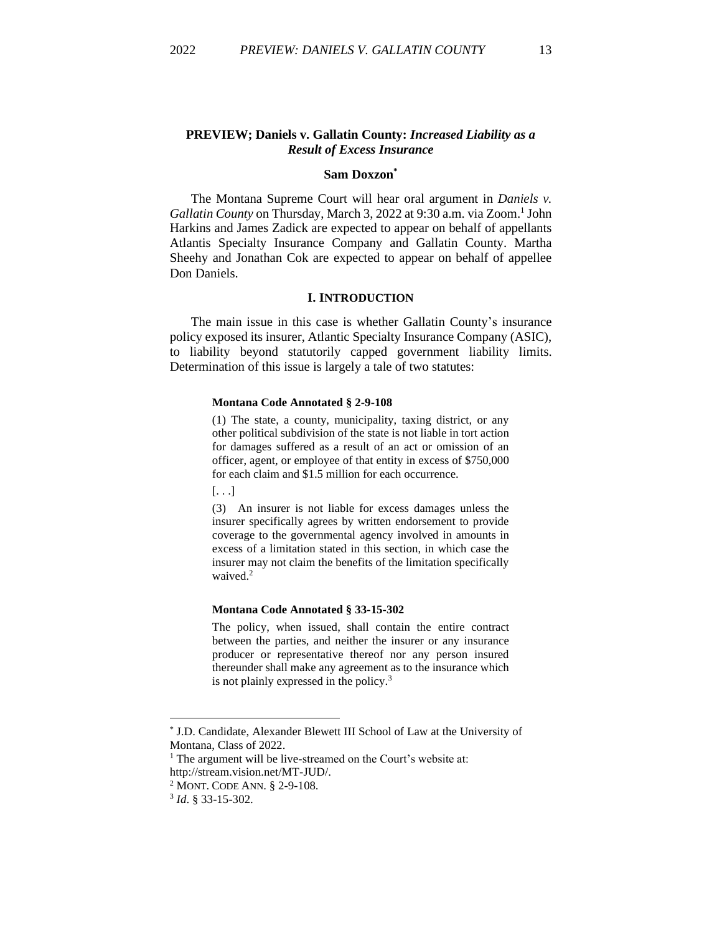## **PREVIEW; Daniels v. Gallatin County:** *Increased Liability as a Result of Excess Insurance*

#### **Sam Doxzon\***

The Montana Supreme Court will hear oral argument in *Daniels v.*  Gallatin County on Thursday, March 3, 2022 at 9:30 a.m. via Zoom.<sup>1</sup> John Harkins and James Zadick are expected to appear on behalf of appellants Atlantis Specialty Insurance Company and Gallatin County. Martha Sheehy and Jonathan Cok are expected to appear on behalf of appellee Don Daniels.

#### **I. INTRODUCTION**

The main issue in this case is whether Gallatin County's insurance policy exposed its insurer, Atlantic Specialty Insurance Company (ASIC), to liability beyond statutorily capped government liability limits. Determination of this issue is largely a tale of two statutes:

#### **Montana Code Annotated § 2-9-108**

(1) The state, a county, municipality, taxing district, or any other political subdivision of the state is not liable in tort action for damages suffered as a result of an act or omission of an officer, agent, or employee of that entity in excess of \$750,000 for each claim and \$1.5 million for each occurrence.

[. . .]

(3) An insurer is not liable for excess damages unless the insurer specifically agrees by written endorsement to provide coverage to the governmental agency involved in amounts in excess of a limitation stated in this section, in which case the insurer may not claim the benefits of the limitation specifically waived.<sup>2</sup>

#### **Montana Code Annotated § 33-15-302**

The policy, when issued, shall contain the entire contract between the parties, and neither the insurer or any insurance producer or representative thereof nor any person insured thereunder shall make any agreement as to the insurance which is not plainly expressed in the policy.<sup>3</sup>

<sup>\*</sup> J.D. Candidate, Alexander Blewett III School of Law at the University of Montana, Class of 2022.

 $<sup>1</sup>$  The argument will be live-streamed on the Court's website at:</sup>

http://stream.vision.net/MT-JUD/.

<sup>2</sup> MONT. CODE ANN. § 2-9-108.

<sup>3</sup> *Id*. § 33-15-302.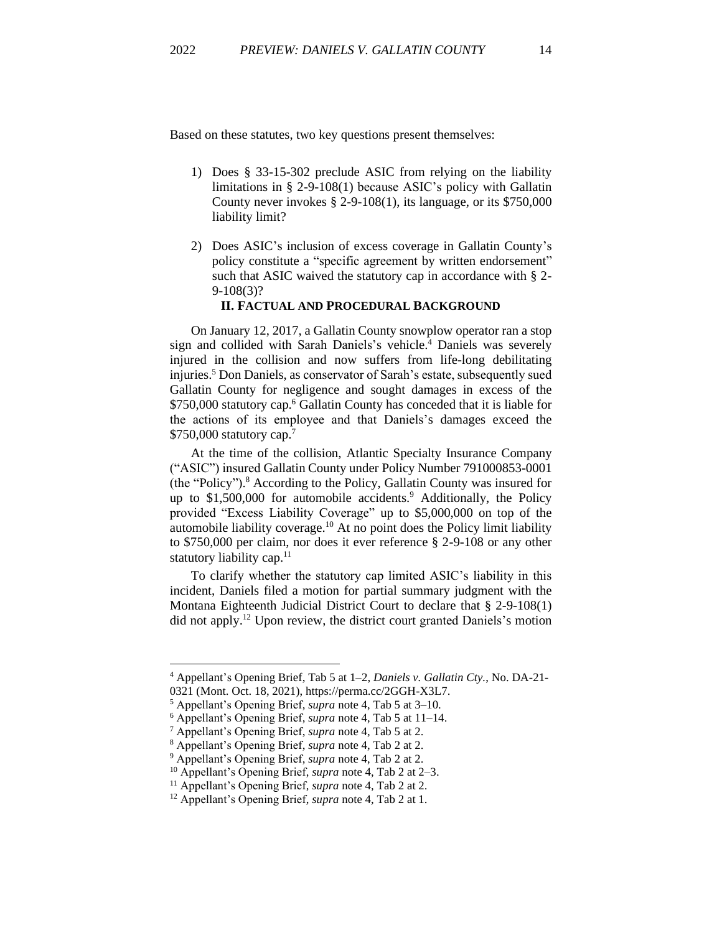Based on these statutes, two key questions present themselves:

- 1) Does § 33-15-302 preclude ASIC from relying on the liability limitations in § 2-9-108(1) because ASIC's policy with Gallatin County never invokes  $\S$  2-9-108(1), its language, or its  $$750,000$ liability limit?
- 2) Does ASIC's inclusion of excess coverage in Gallatin County's policy constitute a "specific agreement by written endorsement" such that ASIC waived the statutory cap in accordance with § 2-9-108(3)?

### **II. FACTUAL AND PROCEDURAL BACKGROUND**

On January 12, 2017, a Gallatin County snowplow operator ran a stop sign and collided with Sarah Daniels's vehicle.<sup>4</sup> Daniels was severely injured in the collision and now suffers from life-long debilitating injuries. <sup>5</sup> Don Daniels, as conservator of Sarah's estate, subsequently sued Gallatin County for negligence and sought damages in excess of the \$750,000 statutory cap.<sup>6</sup> Gallatin County has conceded that it is liable for the actions of its employee and that Daniels's damages exceed the \$750,000 statutory cap.<sup>7</sup>

At the time of the collision, Atlantic Specialty Insurance Company ("ASIC") insured Gallatin County under Policy Number 791000853-0001 (the "Policy"). <sup>8</sup> According to the Policy, Gallatin County was insured for up to \$1,500,000 for automobile accidents.<sup>9</sup> Additionally, the Policy provided "Excess Liability Coverage" up to \$5,000,000 on top of the automobile liability coverage.<sup>10</sup> At no point does the Policy limit liability to \$750,000 per claim, nor does it ever reference § 2-9-108 or any other statutory liability cap.<sup>11</sup>

To clarify whether the statutory cap limited ASIC's liability in this incident, Daniels filed a motion for partial summary judgment with the Montana Eighteenth Judicial District Court to declare that § 2-9-108(1) did not apply. <sup>12</sup> Upon review, the district court granted Daniels's motion

<sup>4</sup> Appellant's Opening Brief, Tab 5 at 1–2, *Daniels v. Gallatin Cty.*, No. DA-21-

<sup>0321 (</sup>Mont. Oct. 18, 2021), https://perma.cc/2GGH-X3L7.

<sup>5</sup> Appellant's Opening Brief, *supra* note 4, Tab 5 at 3–10.

<sup>6</sup> Appellant's Opening Brief, *supra* note 4, Tab 5 at 11–14.

<sup>7</sup> Appellant's Opening Brief, *supra* note 4, Tab 5 at 2.

<sup>8</sup> Appellant's Opening Brief, *supra* note 4, Tab 2 at 2.

<sup>9</sup> Appellant's Opening Brief, *supra* note 4, Tab 2 at 2.

<sup>10</sup> Appellant's Opening Brief, *supra* note 4, Tab 2 at 2–3.

<sup>11</sup> Appellant's Opening Brief, *supra* note 4, Tab 2 at 2.

<sup>12</sup> Appellant's Opening Brief, *supra* note 4, Tab 2 at 1.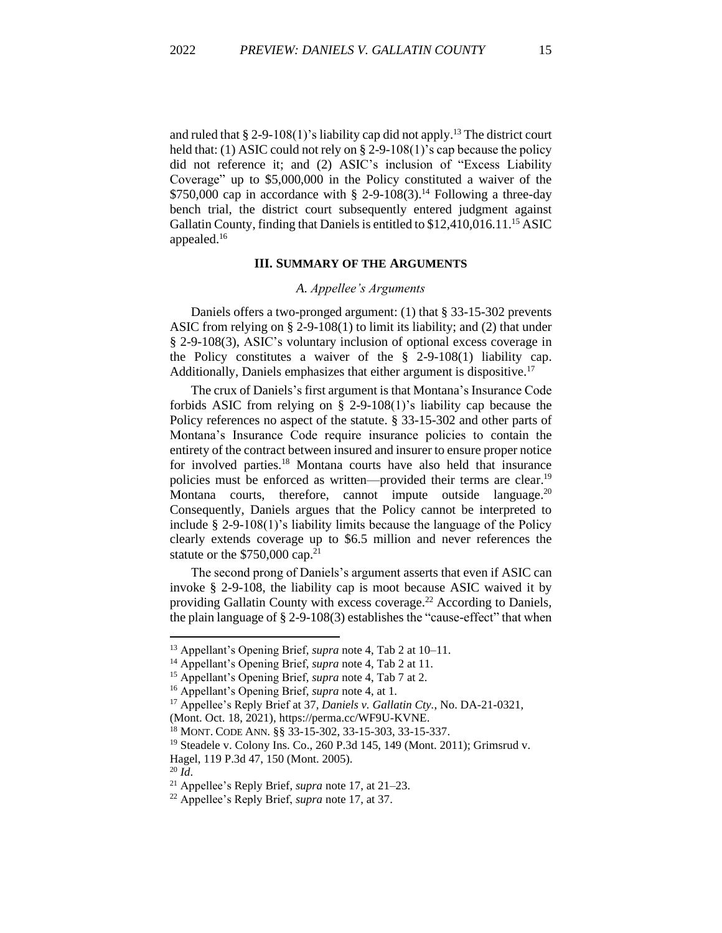and ruled that  $\S 2-9-108(1)$ 's liability cap did not apply.<sup>13</sup> The district court held that: (1) ASIC could not rely on § 2-9-108(1)'s cap because the policy did not reference it; and (2) ASIC's inclusion of "Excess Liability Coverage" up to \$5,000,000 in the Policy constituted a waiver of the  $$750,000$  cap in accordance with § 2-9-108(3).<sup>14</sup> Following a three-day bench trial, the district court subsequently entered judgment against Gallatin County, finding that Daniels is entitled to \$12,410,016.11.<sup>15</sup> ASIC appealed.<sup>16</sup>

#### **III. SUMMARY OF THE ARGUMENTS**

#### *A. Appellee's Arguments*

Daniels offers a two-pronged argument: (1) that § 33-15-302 prevents ASIC from relying on § 2-9-108(1) to limit its liability; and (2) that under § 2-9-108(3), ASIC's voluntary inclusion of optional excess coverage in the Policy constitutes a waiver of the § 2-9-108(1) liability cap. Additionally, Daniels emphasizes that either argument is dispositive.<sup>17</sup>

The crux of Daniels's first argument is that Montana's Insurance Code forbids ASIC from relying on § 2-9-108(1)'s liability cap because the Policy references no aspect of the statute. § 33-15-302 and other parts of Montana's Insurance Code require insurance policies to contain the entirety of the contract between insured and insurer to ensure proper notice for involved parties.<sup>18</sup> Montana courts have also held that insurance policies must be enforced as written—provided their terms are clear.<sup>19</sup> Montana courts, therefore, cannot impute outside language.<sup>20</sup> Consequently, Daniels argues that the Policy cannot be interpreted to include  $\S$  2-9-108(1)'s liability limits because the language of the Policy clearly extends coverage up to \$6.5 million and never references the statute or the  $$750,000$  cap.<sup>21</sup>

The second prong of Daniels's argument asserts that even if ASIC can invoke § 2-9-108, the liability cap is moot because ASIC waived it by providing Gallatin County with excess coverage.<sup>22</sup> According to Daniels, the plain language of  $\S 2-9-108(3)$  establishes the "cause-effect" that when

<sup>20</sup> *Id*.

<sup>13</sup> Appellant's Opening Brief, *supra* note 4, Tab 2 at 10–11.

<sup>14</sup> Appellant's Opening Brief, *supra* note 4, Tab 2 at 11.

<sup>15</sup> Appellant's Opening Brief, *supra* note 4, Tab 7 at 2.

<sup>16</sup> Appellant's Opening Brief, *supra* note 4, at 1.

<sup>17</sup> Appellee's Reply Brief at 37, *Daniels v. Gallatin Cty.*, No. DA-21-0321,

<sup>(</sup>Mont. Oct. 18, 2021), https://perma.cc/WF9U-KVNE.

<sup>18</sup> MONT. CODE ANN. §§ 33-15-302, 33-15-303, 33-15-337.

<sup>19</sup> Steadele v. Colony Ins. Co., 260 P.3d 145, 149 (Mont. 2011); Grimsrud v. Hagel, 119 P.3d 47, 150 (Mont. 2005).

<sup>21</sup> Appellee's Reply Brief, *supra* note 17, at 21–23.

<sup>22</sup> Appellee's Reply Brief, *supra* note 17, at 37.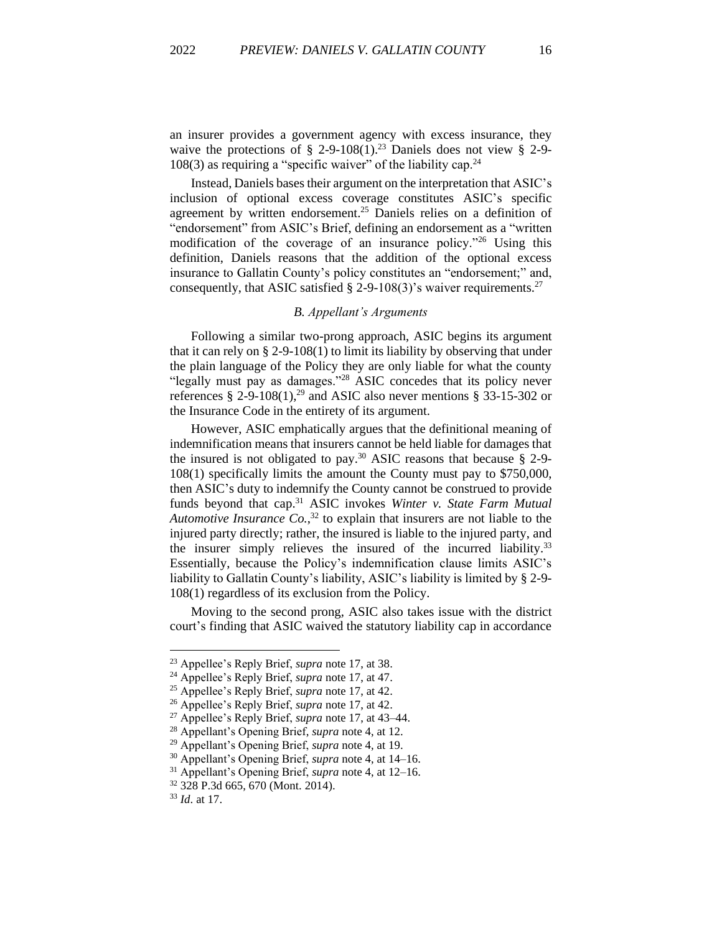an insurer provides a government agency with excess insurance, they waive the protections of § 2-9-108(1).<sup>23</sup> Daniels does not view § 2-9- $108(3)$  as requiring a "specific waiver" of the liability cap.<sup>24</sup>

Instead, Daniels bases their argument on the interpretation that ASIC's inclusion of optional excess coverage constitutes ASIC's specific agreement by written endorsement.<sup>25</sup> Daniels relies on a definition of "endorsement" from ASIC's Brief, defining an endorsement as a "written modification of the coverage of an insurance policy."<sup>26</sup> Using this definition, Daniels reasons that the addition of the optional excess insurance to Gallatin County's policy constitutes an "endorsement;" and, consequently, that ASIC satisfied § 2-9-108(3)'s waiver requirements.<sup>27</sup>

#### *B. Appellant's Arguments*

Following a similar two-prong approach, ASIC begins its argument that it can rely on  $\S 2-9-108(1)$  to limit its liability by observing that under the plain language of the Policy they are only liable for what the county "legally must pay as damages."<sup>28</sup> ASIC concedes that its policy never references § 2-9-108(1),<sup>29</sup> and ASIC also never mentions § 33-15-302 or the Insurance Code in the entirety of its argument.

However, ASIC emphatically argues that the definitional meaning of indemnification means that insurers cannot be held liable for damages that the insured is not obligated to pay.<sup>30</sup> ASIC reasons that because  $\S$  2-9-108(1) specifically limits the amount the County must pay to \$750,000, then ASIC's duty to indemnify the County cannot be construed to provide funds beyond that cap. <sup>31</sup> ASIC invokes *Winter v. State Farm Mutual Automotive Insurance Co.*, <sup>32</sup> to explain that insurers are not liable to the injured party directly; rather, the insured is liable to the injured party, and the insurer simply relieves the insured of the incurred liability.<sup>33</sup> Essentially, because the Policy's indemnification clause limits ASIC's liability to Gallatin County's liability, ASIC's liability is limited by § 2-9- 108(1) regardless of its exclusion from the Policy.

Moving to the second prong, ASIC also takes issue with the district court's finding that ASIC waived the statutory liability cap in accordance

<sup>23</sup> Appellee's Reply Brief, *supra* note 17, at 38.

<sup>24</sup> Appellee's Reply Brief, *supra* note 17, at 47.

<sup>25</sup> Appellee's Reply Brief, *supra* note 17, at 42.

<sup>26</sup> Appellee's Reply Brief, *supra* note 17, at 42.

<sup>27</sup> Appellee's Reply Brief, *supra* note 17, at 43–44.

<sup>28</sup> Appellant's Opening Brief, *supra* note 4, at 12.

<sup>29</sup> Appellant's Opening Brief, *supra* note 4, at 19.

<sup>30</sup> Appellant's Opening Brief, *supra* note 4, at 14–16.

<sup>31</sup> Appellant's Opening Brief, *supra* note 4, at 12–16.

<sup>32</sup> 328 P.3d 665, 670 (Mont. 2014).

<sup>33</sup> *Id*. at 17.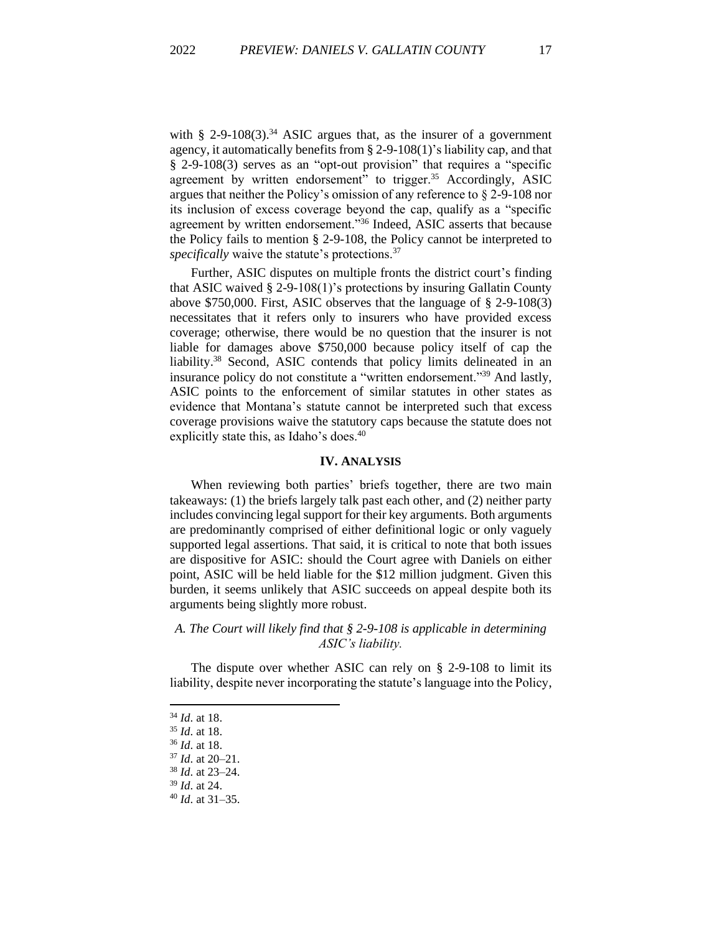with  $\S$  2-9-108(3).<sup>34</sup> ASIC argues that, as the insurer of a government agency, it automatically benefits from § 2-9-108(1)'s liability cap, and that § 2-9-108(3) serves as an "opt-out provision" that requires a "specific agreement by written endorsement" to trigger.<sup>35</sup> Accordingly, ASIC argues that neither the Policy's omission of any reference to § 2-9-108 nor its inclusion of excess coverage beyond the cap, qualify as a "specific agreement by written endorsement."<sup>36</sup> Indeed, ASIC asserts that because the Policy fails to mention § 2-9-108, the Policy cannot be interpreted to *specifically* waive the statute's protections.<sup>37</sup>

Further, ASIC disputes on multiple fronts the district court's finding that ASIC waived § 2-9-108(1)'s protections by insuring Gallatin County above \$750,000. First, ASIC observes that the language of § 2-9-108(3) necessitates that it refers only to insurers who have provided excess coverage; otherwise, there would be no question that the insurer is not liable for damages above \$750,000 because policy itself of cap the liability. <sup>38</sup> Second, ASIC contends that policy limits delineated in an insurance policy do not constitute a "written endorsement."<sup>39</sup> And lastly, ASIC points to the enforcement of similar statutes in other states as evidence that Montana's statute cannot be interpreted such that excess coverage provisions waive the statutory caps because the statute does not explicitly state this, as Idaho's does.<sup>40</sup>

#### **IV. ANALYSIS**

When reviewing both parties' briefs together, there are two main takeaways: (1) the briefs largely talk past each other, and (2) neither party includes convincing legal support for their key arguments. Both arguments are predominantly comprised of either definitional logic or only vaguely supported legal assertions. That said, it is critical to note that both issues are dispositive for ASIC: should the Court agree with Daniels on either point, ASIC will be held liable for the \$12 million judgment. Given this burden, it seems unlikely that ASIC succeeds on appeal despite both its arguments being slightly more robust.

# *A. The Court will likely find that § 2-9-108 is applicable in determining ASIC's liability.*

The dispute over whether ASIC can rely on § 2-9-108 to limit its liability, despite never incorporating the statute's language into the Policy,

<sup>34</sup> *Id*. at 18.

<sup>35</sup> *Id*. at 18.

<sup>36</sup> *Id*. at 18.

<sup>37</sup> *Id*. at 20–21.

<sup>38</sup> *Id*. at 23–24.

<sup>39</sup> *Id*. at 24.

<sup>40</sup> *Id*. at 31–35.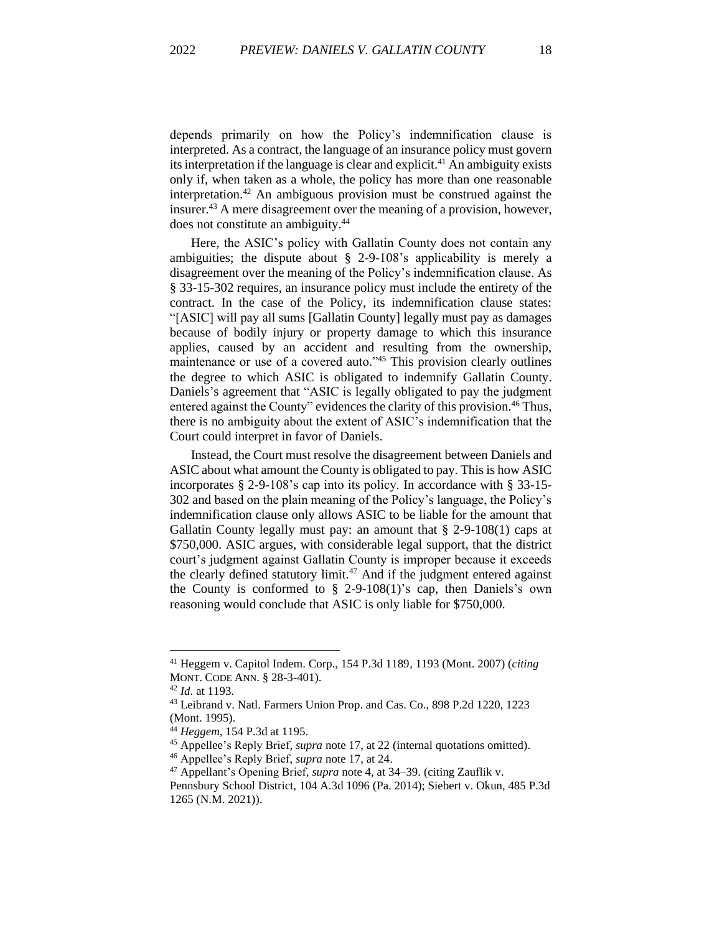depends primarily on how the Policy's indemnification clause is interpreted. As a contract, the language of an insurance policy must govern its interpretation if the language is clear and explicit.<sup>41</sup> An ambiguity exists only if, when taken as a whole, the policy has more than one reasonable interpretation.<sup>42</sup> An ambiguous provision must be construed against the insurer.<sup>43</sup> A mere disagreement over the meaning of a provision, however, does not constitute an ambiguity.<sup>44</sup>

Here, the ASIC's policy with Gallatin County does not contain any ambiguities; the dispute about § 2-9-108's applicability is merely a disagreement over the meaning of the Policy's indemnification clause. As § 33-15-302 requires, an insurance policy must include the entirety of the contract. In the case of the Policy, its indemnification clause states: "[ASIC] will pay all sums [Gallatin County] legally must pay as damages because of bodily injury or property damage to which this insurance applies, caused by an accident and resulting from the ownership, maintenance or use of a covered auto."<sup>45</sup> This provision clearly outlines the degree to which ASIC is obligated to indemnify Gallatin County. Daniels's agreement that "ASIC is legally obligated to pay the judgment entered against the County" evidences the clarity of this provision.<sup>46</sup> Thus, there is no ambiguity about the extent of ASIC's indemnification that the Court could interpret in favor of Daniels.

Instead, the Court must resolve the disagreement between Daniels and ASIC about what amount the County is obligated to pay. This is how ASIC incorporates § 2-9-108's cap into its policy. In accordance with § 33-15- 302 and based on the plain meaning of the Policy's language, the Policy's indemnification clause only allows ASIC to be liable for the amount that Gallatin County legally must pay: an amount that  $\S$  2-9-108(1) caps at \$750,000. ASIC argues, with considerable legal support, that the district court's judgment against Gallatin County is improper because it exceeds the clearly defined statutory limit.<sup>47</sup> And if the judgment entered against the County is conformed to  $\S$  2-9-108(1)'s cap, then Daniels's own reasoning would conclude that ASIC is only liable for \$750,000.

<sup>41</sup> Heggem v. Capitol Indem. Corp., 154 P.3d 1189, 1193 (Mont. 2007) (*citing*  MONT. CODE ANN. § 28-3-401).

<sup>42</sup> *Id*. at 1193.

<sup>43</sup> Leibrand v. Natl. Farmers Union Prop. and Cas. Co., 898 P.2d 1220, 1223 (Mont. 1995).

<sup>44</sup> *Heggem*, 154 P.3d at 1195.

<sup>45</sup> Appellee's Reply Brief, *supra* note 17, at 22 (internal quotations omitted).

<sup>46</sup> Appellee's Reply Brief, *supra* note 17, at 24.

<sup>47</sup> Appellant's Opening Brief, *supra* note 4, at 34–39. (citing Zauflik v.

Pennsbury School District, 104 A.3d 1096 (Pa. 2014); Siebert v. Okun, 485 P.3d 1265 (N.M. 2021)).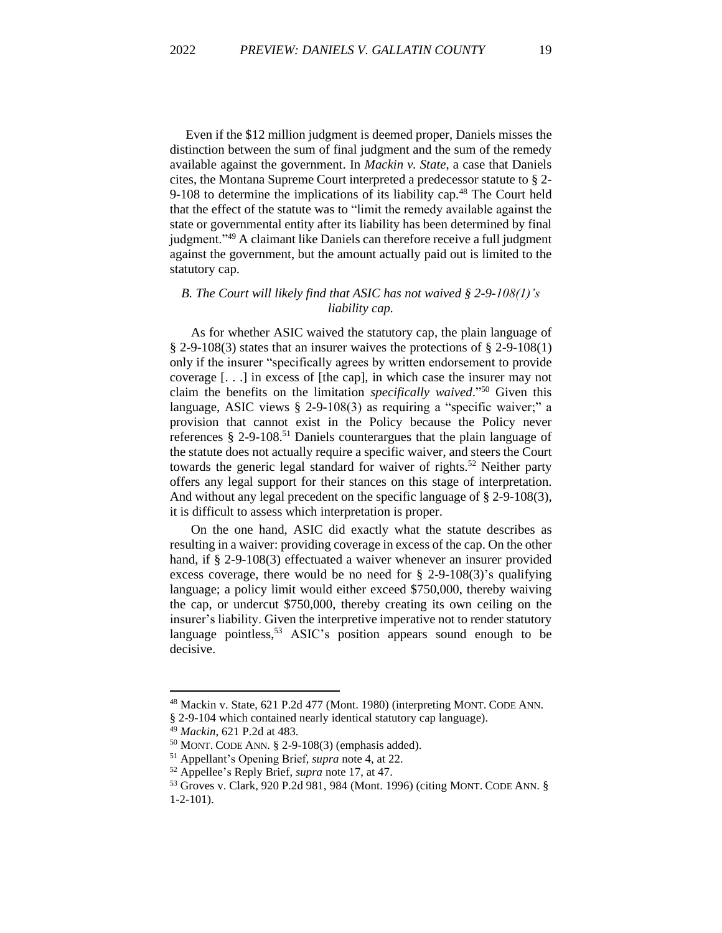Even if the \$12 million judgment is deemed proper, Daniels misses the distinction between the sum of final judgment and the sum of the remedy available against the government. In *Mackin v. State*, a case that Daniels cites, the Montana Supreme Court interpreted a predecessor statute to § 2- 9-108 to determine the implications of its liability cap.<sup>48</sup> The Court held that the effect of the statute was to "limit the remedy available against the state or governmental entity after its liability has been determined by final judgment."<sup>49</sup> A claimant like Daniels can therefore receive a full judgment against the government, but the amount actually paid out is limited to the statutory cap.

# *B. The Court will likely find that ASIC has not waived § 2-9-108(1)'s liability cap.*

As for whether ASIC waived the statutory cap, the plain language of § 2-9-108(3) states that an insurer waives the protections of § 2-9-108(1) only if the insurer "specifically agrees by written endorsement to provide coverage [. . .] in excess of [the cap], in which case the insurer may not claim the benefits on the limitation *specifically waived*." <sup>50</sup> Given this language, ASIC views § 2-9-108(3) as requiring a "specific waiver;" a provision that cannot exist in the Policy because the Policy never references  $\S$  2-9-108.<sup>51</sup> Daniels counterargues that the plain language of the statute does not actually require a specific waiver, and steers the Court towards the generic legal standard for waiver of rights.<sup>52</sup> Neither party offers any legal support for their stances on this stage of interpretation. And without any legal precedent on the specific language of § 2-9-108(3), it is difficult to assess which interpretation is proper.

On the one hand, ASIC did exactly what the statute describes as resulting in a waiver: providing coverage in excess of the cap. On the other hand, if § 2-9-108(3) effectuated a waiver whenever an insurer provided excess coverage, there would be no need for  $\S$  2-9-108(3)'s qualifying language; a policy limit would either exceed \$750,000, thereby waiving the cap, or undercut \$750,000, thereby creating its own ceiling on the insurer's liability. Given the interpretive imperative not to render statutory language pointless,<sup>53</sup> ASIC's position appears sound enough to be decisive.

<sup>48</sup> Mackin v. State, 621 P.2d 477 (Mont. 1980) (interpreting MONT. CODE ANN.

<sup>§ 2-9-104</sup> which contained nearly identical statutory cap language).

<sup>49</sup> *Mackin*, 621 P.2d at 483.

<sup>50</sup> MONT. CODE ANN. § 2-9-108(3) (emphasis added).

<sup>51</sup> Appellant's Opening Brief, *supra* note 4, at 22.

<sup>52</sup> Appellee's Reply Brief, *supra* note 17, at 47.

<sup>53</sup> Groves v. Clark, 920 P.2d 981, 984 (Mont. 1996) (citing MONT. CODE ANN. § 1-2-101).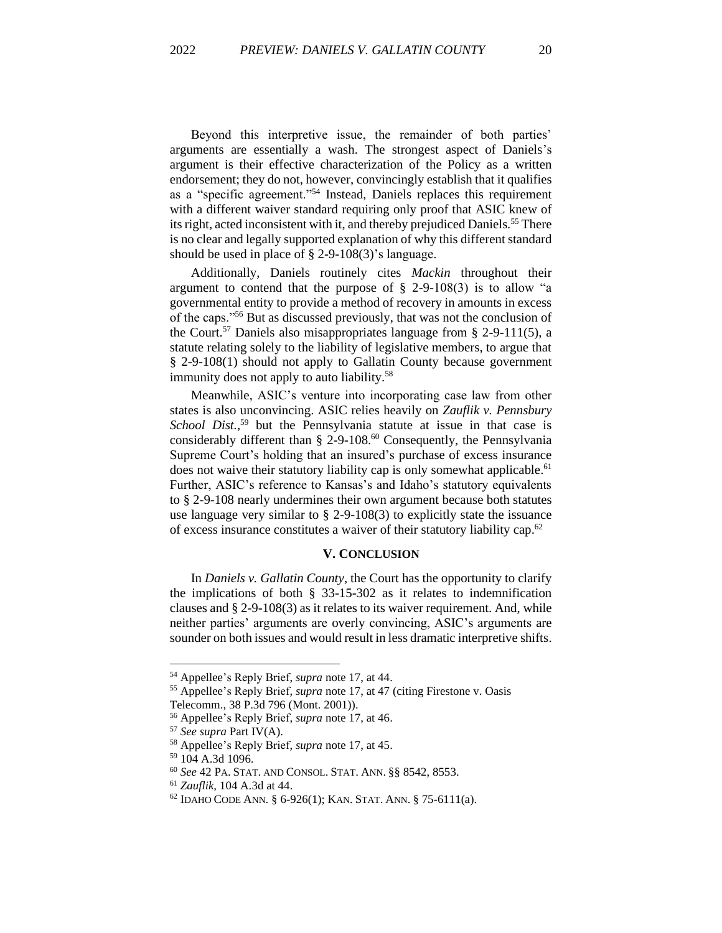Beyond this interpretive issue, the remainder of both parties' arguments are essentially a wash. The strongest aspect of Daniels's argument is their effective characterization of the Policy as a written endorsement; they do not, however, convincingly establish that it qualifies as a "specific agreement."<sup>54</sup> Instead, Daniels replaces this requirement with a different waiver standard requiring only proof that ASIC knew of its right, acted inconsistent with it, and thereby prejudiced Daniels.<sup>55</sup> There is no clear and legally supported explanation of why this different standard should be used in place of § 2-9-108(3)'s language.

Additionally, Daniels routinely cites *Mackin* throughout their argument to contend that the purpose of  $\S$  2-9-108(3) is to allow "a governmental entity to provide a method of recovery in amounts in excess of the caps."<sup>56</sup> But as discussed previously, that was not the conclusion of the Court.<sup>57</sup> Daniels also misappropriates language from  $\S$  2-9-111(5), a statute relating solely to the liability of legislative members, to argue that § 2-9-108(1) should not apply to Gallatin County because government immunity does not apply to auto liability.<sup>58</sup>

Meanwhile, ASIC's venture into incorporating case law from other states is also unconvincing. ASIC relies heavily on *Zauflik v. Pennsbury*  School Dist.<sup>59</sup> but the Pennsylvania statute at issue in that case is considerably different than § 2-9-108. <sup>60</sup> Consequently, the Pennsylvania Supreme Court's holding that an insured's purchase of excess insurance does not waive their statutory liability cap is only somewhat applicable.<sup>61</sup> Further, ASIC's reference to Kansas's and Idaho's statutory equivalents to § 2-9-108 nearly undermines their own argument because both statutes use language very similar to § 2-9-108(3) to explicitly state the issuance of excess insurance constitutes a waiver of their statutory liability cap. 62

#### **V. CONCLUSION**

In *Daniels v. Gallatin County*, the Court has the opportunity to clarify the implications of both § 33-15-302 as it relates to indemnification clauses and § 2-9-108(3) as it relates to its waiver requirement. And, while neither parties' arguments are overly convincing, ASIC's arguments are sounder on both issues and would result in less dramatic interpretive shifts.

<sup>54</sup> Appellee's Reply Brief, *supra* note 17, at 44.

<sup>55</sup> Appellee's Reply Brief, *supra* note 17, at 47 (citing Firestone v. Oasis Telecomm., 38 P.3d 796 (Mont. 2001)).

<sup>56</sup> Appellee's Reply Brief, *supra* note 17, at 46.

<sup>57</sup> *See supra* Part IV(A).

<sup>58</sup> Appellee's Reply Brief, *supra* note 17, at 45.

<sup>59</sup> 104 A.3d 1096.

<sup>60</sup> *See* 42 PA. STAT. AND CONSOL. STAT. ANN. §§ 8542, 8553.

<sup>61</sup> *Zauflik*, 104 A.3d at 44.

 $62$  IDAHO CODE ANN. § 6-926(1); KAN. STAT. ANN. § 75-6111(a).